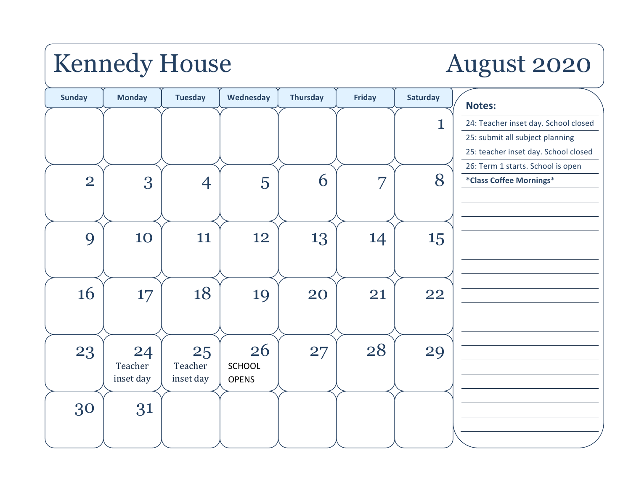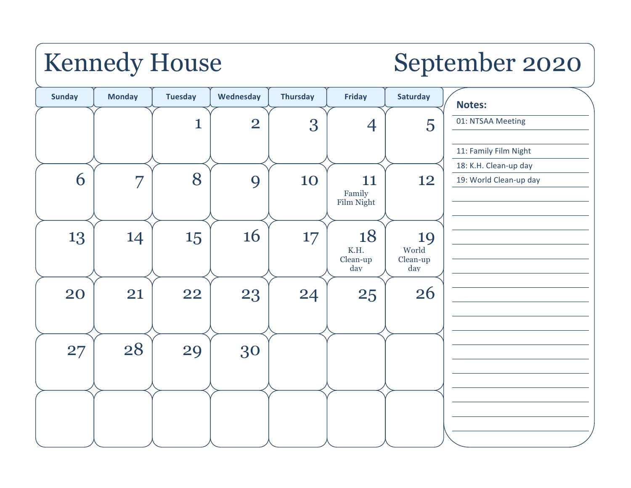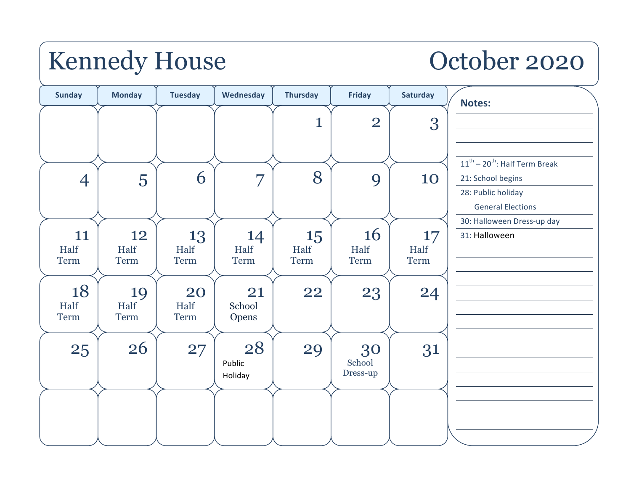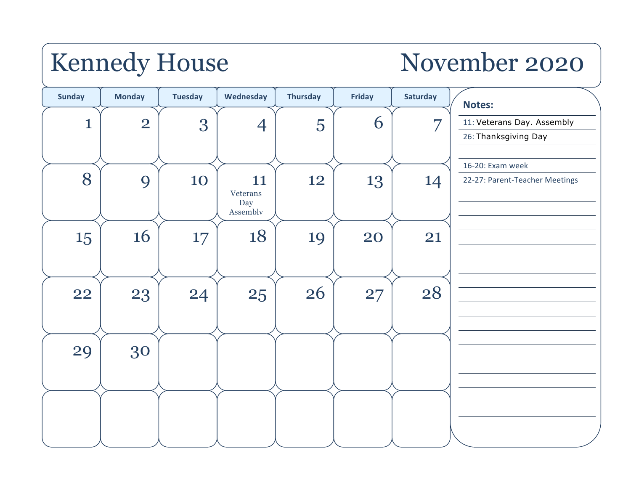